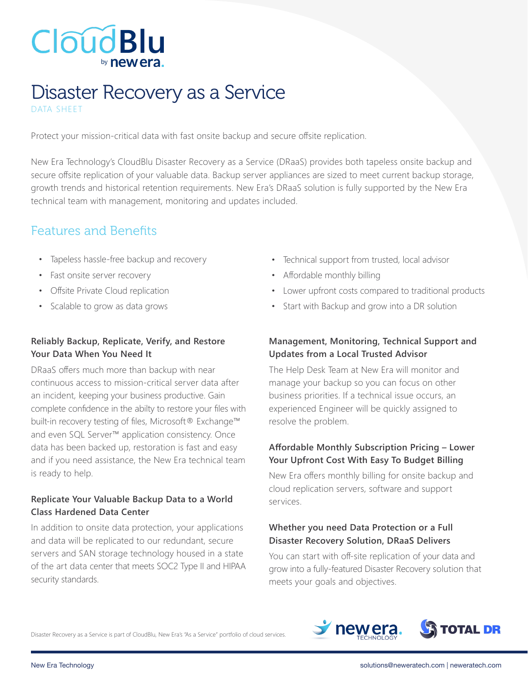

## Disaster Recovery as a Service DATA SHEET

Protect your mission-critical data with fast onsite backup and secure offsite replication.

New Era Technology's CloudBlu Disaster Recovery as a Service (DRaaS) provides both tapeless onsite backup and secure offsite replication of your valuable data. Backup server appliances are sized to meet current backup storage, growth trends and historical retention requirements. New Era's DRaaS solution is fully supported by the New Era technical team with management, monitoring and updates included.

## Features and Benefits

- Tapeless hassle-free backup and recovery
- Fast onsite server recovery
- Offsite Private Cloud replication
- Scalable to grow as data grows

#### **Reliably Backup, Replicate, Verify, and Restore Your Data When You Need It**

DRaaS offers much more than backup with near continuous access to mission-critical server data after an incident, keeping your business productive. Gain complete confidence in the abilty to restore your files with built-in recovery testing of files, Microsoft® Exchange™ and even SQL Server™ application consistency. Once data has been backed up, restoration is fast and easy and if you need assistance, the New Era technical team is ready to help.

#### **Replicate Your Valuable Backup Data to a World Class Hardened Data Center**

In addition to onsite data protection, your applications and data will be replicated to our redundant, secure servers and SAN storage technology housed in a state of the art data center that meets SOC2 Type II and HIPAA security standards.

- Technical support from trusted, local advisor
- Affordable monthly billing
- Lower upfront costs compared to traditional products
- Start with Backup and grow into a DR solution

#### **Management, Monitoring, Technical Support and Updates from a Local Trusted Advisor**

The Help Desk Team at New Era will monitor and manage your backup so you can focus on other business priorities. If a technical issue occurs, an experienced Engineer will be quickly assigned to resolve the problem.

#### **Affordable Monthly Subscription Pricing – Lower Your Upfront Cost With Easy To Budget Billing**

New Era offers monthly billing for onsite backup and cloud replication servers, software and support services.

#### **Whether you need Data Protection or a Full Disaster Recovery Solution, DRaaS Delivers**

You can start with off-site replication of your data and grow into a fully-featured Disaster Recovery solution that meets your goals and objectives.

Disaster Recovery as a Service is part of CloudBlu, New Era's "As a Service" portfolio of cloud services.